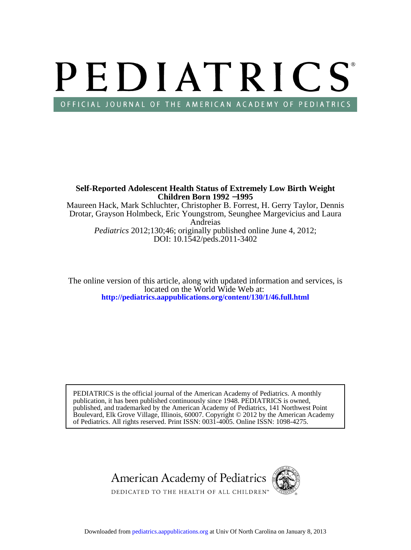# PEDIATRICS OFFICIAL JOURNAL OF THE AMERICAN ACADEMY OF PEDIATRICS

Maureen Hack, Mark Schluchter, Christopher B. Forrest, H. Gerry Taylor, Dennis **Children Born 1992** −**1995 Self-Reported Adolescent Health Status of Extremely Low Birth Weight**

DOI: 10.1542/peds.2011-3402 *Pediatrics* 2012;130;46; originally published online June 4, 2012; Andreias Drotar, Grayson Holmbeck, Eric Youngstrom, Seunghee Margevicius and Laura

**<http://pediatrics.aappublications.org/content/130/1/46.full.html>** located on the World Wide Web at: The online version of this article, along with updated information and services, is

of Pediatrics. All rights reserved. Print ISSN: 0031-4005. Online ISSN: 1098-4275. Boulevard, Elk Grove Village, Illinois, 60007. Copyright © 2012 by the American Academy published, and trademarked by the American Academy of Pediatrics, 141 Northwest Point publication, it has been published continuously since 1948. PEDIATRICS is owned, PEDIATRICS is the official journal of the American Academy of Pediatrics. A monthly

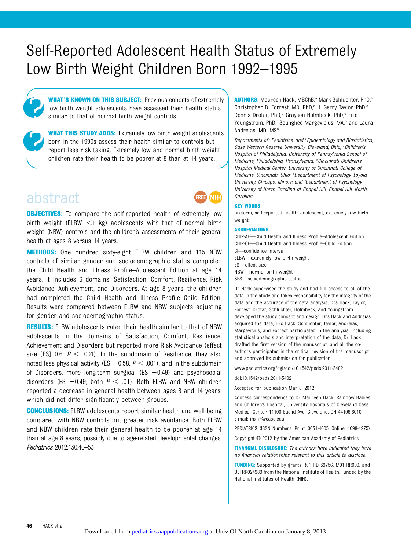# Self-Reported Adolescent Health Status of Extremely Low Birth Weight Children Born 1992–1995

WHAT'S KNOWN ON THIS SUBJECT: Previous cohorts of extremely low birth weight adolescents have assessed their health status similar to that of normal birth weight controls.

WHAT THIS STUDY ADDS: Extremely low birth weight adolescents born in the 1990s assess their health similar to controls but report less risk taking. Extremely low and normal birth weight children rate their health to be poorer at 8 than at 14 years.

# abstract

**OBJECTIVES:** To compare the self-reported health of extremely low birth weight (ELBW,  $\leq$ 1 kg) adolescents with that of normal birth weight (NBW) controls and the children's assessments of their general health at ages 8 versus 14 years.

METHODS: One hundred sixty-eight ELBW children and 115 NBW controls of similar gender and sociodemographic status completed the Child Health and Illness Profile–Adolescent Edition at age 14 years. It includes 6 domains: Satisfaction, Comfort, Resilience, Risk Avoidance, Achievement, and Disorders. At age 8 years, the children had completed the Child Health and Illness Profile–Child Edition. Results were compared between ELBW and NBW subjects adjusting for gender and sociodemographic status.

**RESULTS:** ELBW adolescents rated their health similar to that of NBW adolescents in the domains of Satisfaction, Comfort, Resilience, Achievement and Disorders but reported more Risk Avoidance (effect size [ES] 0.6,  $P < .001$ ). In the subdomain of Resilience, they also noted less physical activity (ES  $-0.58$ ,  $P < .001$ ), and in the subdomain of Disorders, more long-term surgical (ES  $-0.49$ ) and psychosocial disorders (ES  $-0.49$ ; both  $P < .01$ ). Both ELBW and NBW children reported a decrease in general health between ages 8 and 14 years, which did not differ significantly between groups.

CONCLUSIONS: ELBW adolescents report similar health and well-being compared with NBW controls but greater risk avoidance. Both ELBW and NBW children rate their general health to be poorer at age 14 than at age 8 years, possibly due to age-related developmental changes. Pediatrics 2012;130:46–53

AUTHORS: Maureen Hack, MBChB,<sup>a</sup> Mark Schluchter, PhD,<sup>b</sup> Christopher B. Forrest, MD, PhD,<sup>c</sup> H. Gerry Taylor, PhD,<sup>a</sup> Dennis Drotar, PhD,<sup>d</sup> Grayson Holmbeck, PhD,<sup>e</sup> Eric Youngstrom, PhD,<sup>f</sup> Seunghee Margevicius, MA,<sup>b</sup> and Laura Andreias, MD, MSa

Departments of aPediatrics, and bEpidemiology and Biostatistics, Case Western Reserve University, Cleveland, Ohio; <sup>c</sup>Children's Hospital of Philadelphia, University of Pennsylvania School of Medicine, Philadelphia, Pennsylvania; <sup>d</sup>Cincinnati Children's Hospital Medical Center, University of Cincinnati College of Medicine, Cincinnati, Ohio; eDepartment of Psychology, Loyola University, Chicago, Illinois; and <sup>f</sup> Department of Psychology, University of North Carolina at Chapel Hill, Chapel Hill, North Carolina

#### KEY WORDS

NIH

preterm, self-reported health, adolescent, extremely low birth weight

#### ABBREVIATIONS

CHIP-AE—Child Health and Illness Profile–Adolescent Edition CHIP-CE—Child Health and Illness Profile–Child Edition CI—confidence interval ELBW—extremely low birth weight ES—effect size NBW—normal birth weight SES—sociodemographic status

Dr Hack supervised the study and had full access to all of the data in the study and takes responsibility for the integrity of the data and the accuracy of the data analysis; Drs Hack, Taylor, Forrest, Drotar, Schluchter, Holmbeck, and Youngstrom developed the study concept and design; Drs Hack and Andreias acquired the data; Drs Hack, Schluchter, Taylor, Andreias, Margevicius, and Forrest participated in the analysis, including statistical analysis and interpretation of the data; Dr Hack drafted the first version of the manuscript; and all the coauthors participated in the critical revision of the manuscript and approved its submission for publication.

www.pediatrics.org/cgi/doi/10.1542/peds.2011-3402

doi:10.1542/peds.2011-3402

Accepted for publication Mar 8, 2012

Address correspondence to Dr Maureen Hack, Rainbow Babies and Children's Hospital, University Hospitals of Cleveland Case Medical Center, 11100 Euclid Ave, Cleveland, OH 44106-6010. E-mail: [mxh7@case.edu](mailto:mxh7@case.edu)

PEDIATRICS (ISSN Numbers: Print, 0031-4005; Online, 1098-4275).

Copyright © 2012 by the American Academy of Pediatrics

FINANCIAL DISCLOSURE: The authors have indicated they have no financial relationships relevant to this article to disclose.

FUNDING: Supported by grants R01 HD 39756, M01 RR000, and ULI RR024989 from the National Institute of Health. Funded by the National Institutes of Health (NIH).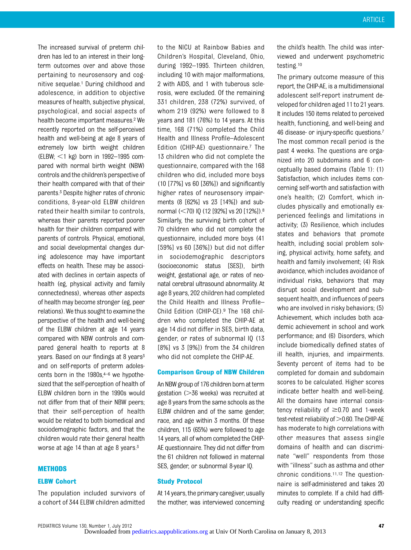The increased survival of preterm children has led to an interest in their longterm outcomes over and above those pertaining to neurosensory and cognitive sequelae.1 During childhood and adolescence, in addition to objective measures of health, subjective physical, psychological, and social aspects of health become important measures.2 We recently reported on the self-perceived health and well-being at age 8 years of extremely low birth weight children (ELBW;  $<$ 1 kg) born in 1992–1995 compared with normal birth weight (NBW) controls and the children's perspective of their health compared with that of their parents.3 Despite higher rates of chronic conditions, 8-year-old ELBW children rated their health similar to controls, whereas their parents reported poorer health for their children compared with parents of controls. Physical, emotional, and social developmental changes during adolescence may have important effects on health. These may be associated with declines in certain aspects of health (eg, physical activity and family connectedness), whereas other aspects of health may become stronger (eg, peer relations). We thus sought to examine the perspective of the health and well-being of the ELBW children at age 14 years compared with NBW controls and compared general health to reports at 8 years. Based on our findings at 8 years $3$ and on self-reports of preterm adolescents born in the  $1980s$ ,  $4-6$  we hypothesized that the self-perception of health of ELBW children born in the 1990s would not differ from that of their NBW peers; that their self-perception of health would be related to both biomedical and sociodemographic factors, and that the children would rate their general health worse at age 14 than at age 8 years.<sup>3</sup>

#### **METHODS**

#### ELBW Cohort

The population included survivors of a cohort of 344 ELBW children admitted

to the NICU at Rainbow Babies and Children's Hospital, Cleveland, Ohio, during 1992–1995. Thirteen children, including 10 with major malformations, 2 with AIDS, and 1 with tuberous sclerosis, were excluded. Of the remaining 331 children, 238 (72%) survived, of whom 219 (92%) were followed to 8 years and 181 (76%) to 14 years. At this time, 168 (71%) completed the Child Health and Illness Profile–Adolescent Edition (CHIP-AE) questionnaire.7 The 13 children who did not complete the questionnaire, compared with the 168 children who did, included more boys (10 [77%] vs 60 [36%]) and significantly higher rates of neurosensory impairments (8 [62%] vs 23 [14%]) and subnormal (<70) IQ (12 [92%] vs 20 [12%]).<sup>8</sup> Similarly, the surviving birth cohort of 70 children who did not complete the questionnaire, included more boys (41 [59%] vs 60 [36%]) but did not differ in sociodemographic descriptors (socioeconomic status [SES]), birth weight, gestational age, or rates of neonatal cerebral ultrasound abnormality. At age 8 years, 202 children had completed the Child Health and Illness Profile– Child Edition (CHIP-CE).9 The 168 children who completed the CHIP-AE at age 14 did not differ in SES, birth data, gender, or rates of subnormal IQ (13 [8%] vs 3 [9%]) from the 34 children who did not complete the CHIP-AE.

#### Comparison Group of NBW Children

An NBW group of 176 children born at term gestation  $($ >36 weeks) was recruited at age 8 years from the same schools as the ELBW children and of the same gender, race, and age within 3 months. Of these children, 115 (65%) were followed to age 14 years, all of whom completed the CHIP-AE questionnaire. They did not differ from the 61 children not followed in maternal SES, gender, or subnormal 8-year IQ.

#### Study Protocol

At 14 years, the primary caregiver, usually the mother, was interviewed concerning the child's health. The child was interviewed and underwent psychometric testing.10

The primary outcome measure of this report, the CHIP-AE, is a multidimensional adolescent self-report instrument developed for children aged 11 to 21 years. It includes 150 items related to perceived health, functioning, and well-being and 46 disease- or injury-specific questions.<sup>7</sup> The most common recall period is the past 4 weeks. The questions are organized into 20 subdomains and 6 conceptually based domains (Table 1): (1) Satisfaction, which includes items concerning self-worth and satisfaction with one's health; (2) Comfort, which includes physically and emotionally experienced feelings and limitations in activity; (3) Resilience, which includes states and behaviors that promote health, including social problem solving, physical activity, home safety, and health and family involvement; (4) Risk avoidance, which includes avoidance of individual risks, behaviors that may disrupt social development and subsequent health, and influences of peers who are involved in risky behaviors; (5) Achievement, which includes both academic achievement in school and work performance; and (6) Disorders, which include biomedically defined states of ill health, injuries, and impairments. Seventy percent of items had to be completed for domain and subdomain scores to be calculated. Higher scores indicate better health and well-being. All the domains have internal consistency reliability of  $\geq$ 0.70 and 1-week test-retest reliability of  $>0.60$ . The CHIP-AE has moderate to high correlations with other measures that assess single domains of health and can discriminate "well" respondents from those with "illness" such as asthma and other chronic conditions.11,12 The questionnaire is self-administered and takes 20 minutes to complete. If a child had difficulty reading or understanding specific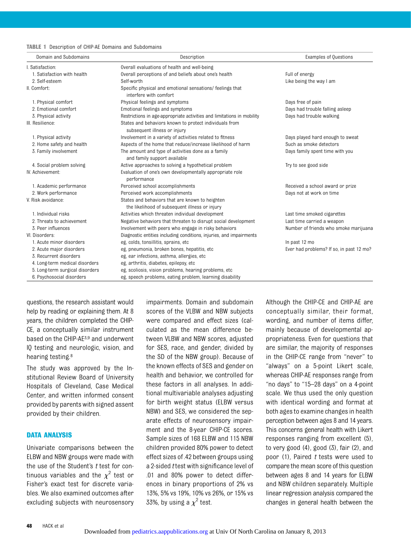#### TABLE 1 Description of CHIP-AE Domains and Subdomains

| Domain and Subdomains           | Description                                                                                       | <b>Examples of Questions</b>             |  |  |
|---------------------------------|---------------------------------------------------------------------------------------------------|------------------------------------------|--|--|
| I. Satisfaction:                | Overall evaluations of health and well-being                                                      |                                          |  |  |
| 1. Satisfaction with health     | Overall perceptions of and beliefs about one's health                                             | Full of energy                           |  |  |
| 2. Self-esteem                  | Self-worth<br>Like being the way I am                                                             |                                          |  |  |
| II. Comfort:                    | Specific physical and emotional sensations/ feelings that<br>interfere with comfort               |                                          |  |  |
| 1. Physical comfort             | Physical feelings and symptoms                                                                    | Days free of pain                        |  |  |
| 2. Emotional comfort            | Emotional feelings and symptoms                                                                   | Days had trouble falling asleep          |  |  |
| 3. Physical activity            | Restrictions in age-appropriate activities and limitations in mobility                            | Days had trouble walking                 |  |  |
| III. Resilience:                | States and behaviors known to protect individuals from<br>subsequent illness or injury            |                                          |  |  |
| 1. Physical activity            | Involvement in a variety of activities related to fitness                                         | Days played hard enough to sweat         |  |  |
| 2. Home safety and health       | Aspects of the home that reduce/increase likelihood of harm                                       | Such as smoke detectors                  |  |  |
| 3. Family involvement           | The amount and type of activities done as a family<br>and family support available                | Days family spent time with you          |  |  |
| 4. Social problem solving       | Active approaches to solving a hypothetical problem                                               | Try to see good side                     |  |  |
| IV. Achievement:                | Evaluation of one's own developmentally appropriate role<br>performance                           |                                          |  |  |
| 1. Academic performance         | Perceived school accomplishments                                                                  | Received a school award or prize         |  |  |
| 2. Work performance             | Perceived work accomplishments                                                                    | Days not at work on time                 |  |  |
| V. Risk avoidance:              | States and behaviors that are known to heighten<br>the likelihood of subsequent illness or injury |                                          |  |  |
| 1. Individual risks             | Activities which threaten individual development                                                  | Last time smoked cigarettes              |  |  |
| 2. Threats to achievement       | Negative behaviors that threaten to disrupt social development                                    | Last time carried a weapon               |  |  |
| 3. Peer influences              | Involvement with peers who engage in risky behaviors                                              | Number of friends who smoke marijuana    |  |  |
| VI. Disorders:                  | Diagnostic entities including conditions, injuries, and impairments                               |                                          |  |  |
| 1. Acute minor disorders        | eg, colds, tonsillitis, sprains, etc.                                                             | In past 12 mo                            |  |  |
| 2. Acute major disorders        | eg, pneumonia, broken bones, hepatitis, etc                                                       | Ever had problems? If so, in past 12 mo? |  |  |
| 3. Recurrent disorders          | eg, ear infections, asthma, allergies, etc                                                        |                                          |  |  |
| 4. Long-term medical disorders  | eg, arthritis, diabetes, epilepsy, etc                                                            |                                          |  |  |
| 5. Long-term surgical disorders | eg, scoliosis, vision problems, hearing problems, etc                                             |                                          |  |  |
| 6. Psychosocial disorders       | eg, speech problems, eating problem, learning disability                                          |                                          |  |  |

questions, the research assistant would help by reading or explaining them. At 8 years, the children completed the CHIP-CE, a conceptually similar instrument based on the CHIP-AE3,9 and underwent IQ testing and neurologic, vision, and hearing testing.8

The study was approved by the Institutional Review Board of University Hospitals of Cleveland, Case Medical Center, and written informed consent provided by parents with signed assent provided by their children.

## DATA ANALYSIS

Univariate comparisons between the ELBW and NBW groups were made with the use of the Student's  $t$  test for continuous variables and the  $\chi^2$  test or Fisher's exact test for discrete variables. We also examined outcomes after excluding subjects with neurosensory impairments. Domain and subdomain scores of the VLBW and NBW subjects were compared and effect sizes (calculated as the mean difference between VLBW and NBW scores, adjusted for SES, race, and gender, divided by the SD of the NBW group). Because of the known effects of SES and gender on health and behavior, we controlled for these factors in all analyses. In additional multivariable analyses adjusting for birth weight status (ELBW versus NBW) and SES, we considered the separate effects of neurosensory impairment and the 8-year CHIP-CE scores. Sample sizes of 168 ELBW and 115 NBW children provided 80% power to detect effect sizes of .42 between groups using a 2-sided *t* test with significance level of .01 and 80% power to detect differences in binary proportions of 2% vs 13%, 5% vs 19%, 10% vs 26%, or 15% vs 33%, by using a  $\chi^2$  test.

Although the CHIP-CE and CHIP-AE are conceptually similar, their format, wording, and number of items differ, mainly because of developmental appropriateness. Even for questions that are similar, the majority of responses in the CHIP-CE range from "never" to "always" on a 5-point Likert scale, whereas CHIP-AE responses range from "no days" to "15–28 days" on a 4-point scale. We thus used the only question with identical wording and format at both ages to examine changes in health perception between ages 8 and 14 years. This concerns general health with Likert responses ranging from excellent (5), to very good (4), good (3), fair (2), and poor  $(1)$ , Paired  $t$  tests were used to compare the mean score of this question between ages 8 and 14 years for ELBW and NBW children separately. Multiple linear regression analysis compared the changes in general health between the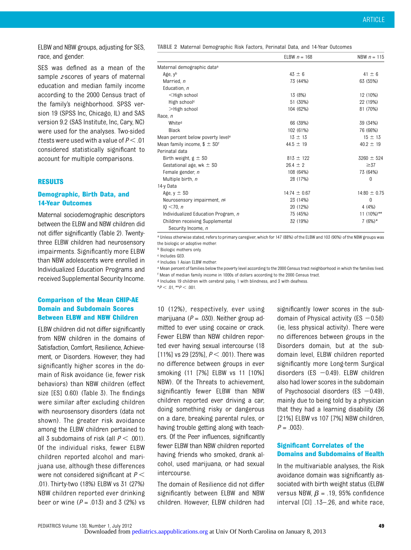ELBW and NBW groups, adjusting for SES, race, and gender.

SES was defined as a mean of the sample z-scores of years of maternal education and median family income according to the 2000 Census tract of the family's neighborhood. SPSS version 19 (SPSS Inc, Chicago, IL) and SAS version 9.2 (SAS Institute, Inc, Cary, NC) were used for the analyses. Two-sided t tests were used with a value of  $P < .01$ considered statistically significant to account for multiple comparisons.

#### RESULTS

# Demographic, Birth Data, and 14-Year Outcomes

Maternal sociodemographic descriptors between the ELBW and NBW children did not differ significantly (Table 2). Twentythree ELBW children had neurosensory impairments. Significantly more ELBW than NBW adolescents were enrolled in Individualized Education Programs and received Supplemental Security Income.

## Comparison of the Mean CHIP-AE Domain and Subdomain Scores Between ELBW and NBW Children

ELBW children did not differ significantly from NBW children in the domains of Satisfaction, Comfort, Resilience, Achievement, or Disorders. However, they had significantly higher scores in the domain of Risk avoidance (ie, fewer risk behaviors) than NBW children (effect size [ES] 0.60) (Table 3). The findings were similar after excluding children with neurosensory disorders (data not shown). The greater risk avoidance among the ELBW children pertained to all 3 subdomains of risk (all  $P < .001$ ). Of the individual risks, fewer ELBW children reported alcohol and marijuana use, although these differences were not considered significant at  $P <$ .01). Thirty-two (18%) ELBW vs 31 (27%) NBW children reported ever drinking beer or wine  $(P = .013)$  and 3 (2%) vs TABLE 2 Maternal Demographic Risk Factors, Perinatal Data, and 14-Year Outcomes

|                                                       | ELBW $n = 168$   | NBW $n = 115$    |
|-------------------------------------------------------|------------------|------------------|
| Maternal demographic data <sup>a</sup>                |                  |                  |
| Age, y <sup>b</sup>                                   | $43 \pm 6$       | $41 \pm 6$       |
| Married, n                                            | 73 (44%)         | 63 (55%)         |
| Education, n                                          |                  |                  |
| $<$ High school                                       | 13 (8%)          | 12 (10%)         |
| High school <sup>c</sup>                              | 51 (30%)         | 22 (19%)         |
| >High school                                          | 104 (62%)        | 81 (70%)         |
| Race, n                                               |                  |                  |
| White <sup>d</sup>                                    | 66 (39%)         | 39 (34%)         |
| Black                                                 | 102 (61%)        | 76 (66%)         |
| Mean percent below poverty level <sup>e</sup>         | $13 \pm 13$      | $15 \pm 13$      |
| Mean family income, $$ \pm SD^{\dagger}$              | 44.5 $\pm$ 19    | $40.2 \pm 19$    |
| Perinatal data                                        |                  |                  |
| Birth weight, $g \pm SD$                              | $813 \pm 122$    | $3260 \pm 524$   |
| Gestational age, wk $\pm$ SD                          | $26.4 \pm 2$     | $\geq 37$        |
| Female gender, n                                      | 108 (64%)        | 73 (64%)         |
| Multiple birth, n                                     | 28 (17%)         | 0                |
| 14-y Data                                             |                  |                  |
| Age, $v \pm SD$                                       | $14:74 \pm 0.67$ | $14:80 \pm 0.75$ |
| Neurosensory impairment, nº                           | 23 (14%)         | $\Omega$         |
| $10 < 70$ , n                                         | 20 (12%)         | 4(4%)            |
| Individualized Education Program, n                   | 75 (45%)         | 11 $(10\%)$ **   |
| Children receiving Supplemental<br>Security Income, n | 32 (19%)         | $7(6%)*$         |

a Unless otherwise stated, refers to primary caregiver, which for 147 (88%) of the ELBW and 103 (90%) of the NBW groups was the biologic or adoptive mother.

b Biologic mothers only.

c Includes GED.

d Includes 1 Asian ELBW mother.

e Mean percent of families below the poverty level according to the 2000 Census tract neighborhood in which the families lived. f Mean of median family income in 1000s of dollars according to the 2000 Census tract.

g Includes 19 children with cerebral palsy, 1 with blindness, and 3 with deafness.

 $*P < .01$ ,  $*P < .001$ .

10 (12%), respectively, ever using marijuana ( $P = .030$ ). Neither group admitted to ever using cocaine or crack. Fewer ELBW than NBW children reported ever having sexual intercourse (18 [11%] vs 29 [25%],  $P < .001$ ). There was no difference between groups in ever smoking (11 [7%] ELBW vs 11 [10%] NBW). Of the Threats to achievement, significantly fewer ELBW than NBW children reported ever driving a car, doing something risky or dangerous on a dare, breaking parental rules, or having trouble getting along with teachers. Of the Peer influences, significantly fewer ELBW than NBW children reported having friends who smoked, drank alcohol, used marijuana, or had sexual intercourse.

The domain of Resilience did not differ significantly between ELBW and NBW children. However, ELBW children had significantly lower scores in the subdomain of Physical activity (ES  $-0.58$ ) (ie, less physical activity). There were no differences between groups in the Disorders domain, but at the subdomain level, ELBW children reported significantly more Long-term Surgical disorders (ES  $-0.49$ ). ELBW children also had lower scores in the subdomain of Psychosocial disorders (ES  $-0.49$ ), mainly due to being told by a physician that they had a learning disability (36 [21%] ELBW vs 107 [7%] NBW children,  $P = .003$ .

# Significant Correlates of the Domains and Subdomains of Health

In the multivariable analyses, the Risk avoidance domain was significantly associated with birth weight status (ELBW versus NBW,  $\beta$  = .19, 95% confidence interval [CI] .13–.26, and white race,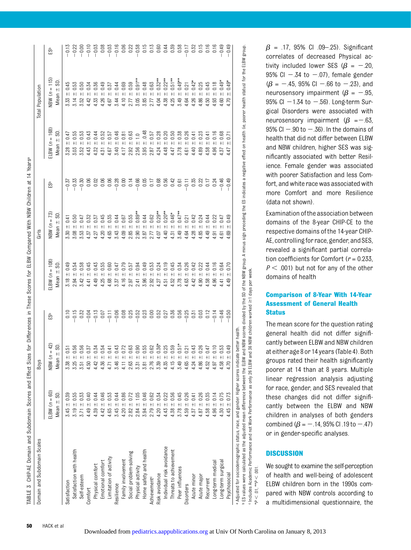|                           |                                   | <b>Boys</b>                                 |               |                                 | Girls                           |         |                                | <b>Total Population</b>        |                    |
|---------------------------|-----------------------------------|---------------------------------------------|---------------|---------------------------------|---------------------------------|---------|--------------------------------|--------------------------------|--------------------|
|                           | ELBW $(n = 60)$<br>Mean $\pm$ SD. | $= 42$<br>SO,<br>$+1$<br>n<br>Mean<br>NBW ( | έŝ            | ELBW $(n = 108)$<br>S<br>Mean ± | NBW $(n = 73)$<br>Mean $\pm$ SD | έŝ      | $ELBW(n = 168)$<br>S<br>Mean ± | $VBW (n = 115)$<br>S<br>Mean ± | ŝ                  |
| Satisfaction              | 0.39<br>$3.45 +$                  | 0.51<br>3.38                                |               | 0.49<br>$+$                     | 0.41<br>$+$<br>3.30             | $-0.57$ | 0.47<br>$+$<br>3.28            | 0.45<br>$+1$<br>3.33           | $-0.13$            |
| Satisfaction with health  | 0.55<br>$3.19 +$                  | $\pm 0.56$<br>3.25                          | $-0.15$       | 0.54<br>$+1$<br>2.94            | 0.50<br>$3.08 \pm$              | $-0.33$ | 0.55<br>$3.03 +$               | 0.53<br>$+1$<br>3.14           |                    |
| Self-esteem               | 0.33<br>$3.71 \pm$                | $\pm 0.56$<br>3.51                          | 0.32          | 0.58<br>$+$<br>3.42             | 0.47<br>$3.53 +$                | $-0.30$ | 0.53<br>$+1$<br>3.52           | 0.50<br>$+1$<br>3.52           | $-0.22$<br>$-0.00$ |
| Comfort                   | 0.40<br>$4.49 +$                  | 0.37<br>4.50                                | $-0.04$       | $+$<br>4.41                     | $+1$<br>4.37                    | 0.06    | $4.43 +$                       | $+$<br>4.42                    | $-0.10$            |
| Physical comfort          | 0.44<br>$4.39 +$                  | 0.34<br>4.42                                | $-0.13$       | 0.43<br>$+$<br>4.49             | 0.37<br>$4.27 +$                | 0.02    | 0.44<br>$4.32 +$               | 0.36<br>$4.33 +$               | $-0.05$            |
| Emotional comfort         | 0.46<br>$4.42 \pm$                | 0.54<br>4.36                                | 0.07          | $+1$<br>4.25                    | 0.45<br>$4.20 \pm$              | 0.06    | 0.52<br>$+1$<br>4.31           | 0.49<br>$+1$<br>4.26           | 0.08               |
| Limitation of activity    | 0.53<br>$4.65 +$                  | $\pm 0.41$<br>4.71                          | $-0.11$       | 0.60<br>$+1$<br>4.68            | 0.35<br>$+1$<br>4.65            | 0.06    | 0.57<br>$+$<br>4.67            | 0.37<br>$+1$<br>4.67           | $-0.03$            |
| Resilience                | 0.44<br>$3.45 -$                  | 0.43<br>3.46                                | $-0.06$       | 0.47<br>$+1$<br>337             | 0.44<br>$3.43 +$                | $-0.28$ | 0.46<br>$3.40 +$               | 0.44<br>$+1$<br>3.44           | $-0.16$            |
| Family involvement        | 0.86<br>$4.20 \pm$                | 0.72<br>4.11                                | 0.08          | $+$<br>4.16                     | 0.67<br>$+1$<br>4.09            | 0.00    | 0.81<br>$+$<br>4.17            | 0.69<br>$4.10 +$               | 0.06               |
| Social problem-solving    | $2.82 +$                          | 0.63<br>2.63                                | 0.25          | 0.57<br>$+1$<br>2.97            | 0.55<br>$2.85 +$                | 0.14    | 0.63<br>$2.92 +$               | 0.59<br>$+1$<br>2.77           | 0.22               |
| Physical activity         | $2.84 +$                          | 0.90<br>3.31                                | $-0.52$       | 0.94<br>$+1$<br>2.41            | $0.89**$<br>$2.90 +$            | $-0.66$ | $\frac{0}{1}$<br>$2.56 \pm$    | $0.91**$<br>$+1$<br>3.05       | $-0.58$            |
| Home safety and health    | 0.46<br>$3.94 +$                  | 0.55<br>3.81                                | 0.23          | 0.49<br>$+$<br>3.96             | 0.44<br>$+1$<br>3.87            | 0.05    | 0.48<br>$+1$<br>3.95           | 0.48<br>$+$<br>3.85            | 0.15               |
| Achievement <sup>c</sup>  | 0.62<br>$2.79 +$                  | 0.62<br>2.76                                | 0.00          | <b>C30</b><br>$+1$<br>2.92      | 0.62<br>$2.77 \pm$              | 0.17    | 0.57<br>$+1$<br>2.87           | 0.63<br>$+1$<br>2.77           | 0.13               |
| Risk avoidance            | 0.34<br>$4.20 +$                  | $0.36*$<br>3.39                             | 0.52          | 0.24<br>$+$<br>4.27             | $0.29**$<br>$\bf + $<br>4.07    | 0.68    | 0.28<br>$+1$<br>4.24           | $0.32***$<br>$+1$<br>4.04      | 0.60               |
| Individual risk avoidance | $4.43 +$                          | 0.25<br>4.35                                | 0.27          | 0.19<br>$+$<br>4.51             | $0.20***$<br>$4.40 +$           | 0.56    | 0.20<br>$4.48 +$               | $0.22***$<br>$4.38 +$          | 0.44               |
| Threats to achievement    | 0.56<br>$4.38 +$                  | $\pm 0.59$<br>4.15                          | 0.36          | 0.45<br>$+$<br>4.52             | $0.46*$<br>$4.31 \pm$           | 0.42    | 0.50<br>$+1$<br>4.47           | $0.51**$<br>$+1$<br>4.25       | 0.39               |
| Peer influences           | 0.45<br>$3.78 +$                  | $0.51*$<br>3.49                             | 0.56          | 0.34<br>$+$<br>3.78             | $0.47**$<br>$3.49 +$            | 0.61    | 0.38<br>$+1$<br>3.78           | $0.49**$<br>$+1$<br>3.49       | 0.58               |
| Disorders                 | 0.26<br>$4.59 +$                  | 0.21<br>$+1$<br>4.65                        | 0.25          | 0.26<br>$+1$<br>4.63            | 0.21<br>$+1$<br>4.64            | $-0.11$ | 0.26<br>$+1$<br>4.61           | 0.21<br>$+1$<br>4.64           | $-0.17$            |
| 4.37<br>Acute minor       | 0.41<br>$+1$                      | 0.43<br>4.24                                | 0.31          | 0.42<br>$+1$<br>4.42            | 0.42<br>$+$<br>4.28             | 0.35    | 0.41<br>$4.40 +$               | $0.42*$<br>$+1$<br>4.26        | 0.32               |
| 4.87<br>Acute major       | 0.26<br>$\frac{1}{2}$             | 0.26<br>4.86                                | 0.03          | $+1$<br>4.90                    | 0.24<br>$4.85 +$                | 0.22    | 0.23<br>$+1$<br>4.89           | 0.25<br>$+$<br>4.86            | 0.15               |
| Recurrent                 | 0.35<br>$4.58 +$                  | $\pm 0.47$<br>4.52                          | $\frac{2}{5}$ | 0.44<br>$+$<br>58               | 0.44<br>$4.49 +$                | 0.17    | 0.41<br>$+1$<br>4.58           | 0.45<br>$+1$<br>4.50           | 0.16               |
| Long-term medical         | 0.14<br>$4.96 \pm$                | $\pm 0.10$<br>4.97                          | $-0.14$       | 0.16<br>$+1$<br>4.96            | $+1$<br>4.91                    | 0.24    | 0.16<br>$+1$<br>4.96           | 0.18<br>$+1$<br>4.93           | 0.16               |
| Long-term surgical        | $4.30 \pm 0.75$                   | 0.53<br>4.58                                | $-0.46$       | 0.64<br>$+$<br>$\frac{4}{1}$    | 0.47<br>$+1$<br>4.61            | $-0.46$ | 0.68<br>$+1$<br>4.37           | $0.49*$<br>$4.60 +$            | $-0.49$            |
| Psychosocial              | 0.73<br>$4.45 +$                  | 0.49<br>$+$<br>4.70                         | $-0.50$       | 0.70<br>$+1$<br>49              | 0.49<br>$+1$<br>69              | $-0.49$ | 0.71<br>$+1$<br>47             | $0.49*$<br>$+1$<br>4.70        | $-0.49$            |

►ES values were calculated as the adjusted mean difference between the ELBM acones divided by the SD of the NBM group. A minus sign preceding the ES indicates a negative effect on health (ie, poorer health status) for th a<br>≸  $\geq$ 1 days per week. only 26 ELBW and 36 NBW children worked ≥1 days per week 5<br>금  $\geq$  Includes Academic Performance and not Work Performance as only 26 ELBW and 36 NBW children worked nani <sup>2</sup> Includes Academic Performance and not Work Performance as 01. \*\*  $P$  <  $\beta$  = .17, 95% CI .09-.25). Significant correlates of decreased Physical activity included lower SES ( $\beta = -20$ , 95% CI  $-34$  to  $-0.07$ ), female gender  $(\beta = -0.45, 95\% \text{ Cl} - 0.66 \text{ to } -0.23)$ , and neurosensory impairment ( $\beta = -0.95$ , 95% CI  $-1.34$  to  $-.56$ ). Long-term Surgical Disorders were associated with neurosensory impairment ( $\beta$  = -.63, 95% CI  $-$  90 to  $-.36$ ). In the domains of health that did not differ between ELBW and NBW children, higher SES was significantly associated with better Resilience. Female gender was associated with poorer Satisfaction and less Comfort, and white race was associated with more Comfort and more Resilience (data not shown).

Examination of the association between domains of the 8-year CHIP-CE to the respective domains of the 14-year CHIP-AE, controlling for race, gender, and SES, revealed a significant partial correlation coefficients for Comfort ( $r = 0.233$ ,  $P < .001$ ) but not for any of the other domains of health

# Comparison of 8-Year With 14-Year Assessment of General Health **Status**

The mean score for the question rating general health did not differ significantly between ELBW and NBW children at eitherage 8 or 14 years (Table 4). Both groups rated their health significantly poorer at 14 than at 8 years. Multiple linear regression analysis adjusting for race, gender, and SES revealed that these changes did not differ significantly between the ELBW and NBW children in analyses of both genders combined ( $\beta = -14,95\%$  Cl  $.19$  to  $-.47$ ) or in gender-specific analyses.

# **DISCUSSION**

 $*P < 01, **P < 001.$ 

V

 $\overline{a}$ 

 $\overline{5}$ 

We sought to examine the self-perception of health and well-being of adolescent ELBW children born in the 1990s compared with NBW controls according to a multidimensional questionnaire, the

TABLE 3

CHIP-AE Domain and Subdomain Scores and Effect Sizes for Differences in These Scores for ELBW Compared With NBW Children at 14 Years®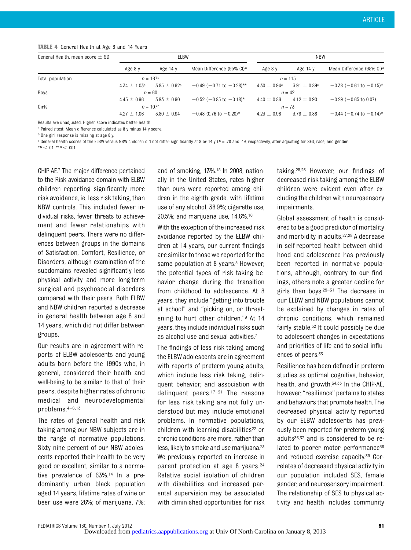#### TABLE 4 General Health at Age 8 and 14 Years

| General Health, mean score $\pm$ SD |                   | ELBW                    |                                       | <b>NBW</b>        |                   |                                       |
|-------------------------------------|-------------------|-------------------------|---------------------------------------|-------------------|-------------------|---------------------------------------|
|                                     | Age 8 y           | Age 14 $v$              | Mean Difference (95% CI) <sup>a</sup> | Age 8 y           | Age $14y$         | Mean Difference (95% CI) <sup>a</sup> |
| Total population                    |                   | $n = 167^{\circ}$       |                                       |                   | $n = 115$         |                                       |
|                                     | $4.34 \pm 1.03$ c | $3.85 \pm 0.92^{\circ}$ | $-0.49$ (-0.71 to $-0.28$ )**         | $4.30 \pm 0.94$ c | $3.91 \pm 0.89$ c | $-0.38$ (-0.61 to -0.15)*             |
| Boys                                | $n = 60$          |                         | $n = 42$                              |                   |                   |                                       |
|                                     | $4.45 \pm 0.96$   | $3.93 \pm 0.90$         | $-0.52$ (-0.85 to $-0.18$ )*          | $4.40 \pm 0.86$   | $4.12 \pm 0.90$   | $-0.29$ ( $-0.65$ to 0.07)            |
| Girls                               | $n = 107b$        |                         |                                       | $n = 73$          |                   |                                       |
|                                     | $4.27 \pm 1.06$   | $3.80 \pm 0.94$         | $-0.48$ (0.76 to $-0.20$ )*           | $4.23 \pm 0.98$   | $3.79 \pm 0.88$   | $-0.44$ (-0.74 to -0.14)*             |

Results are unadjusted. Higher score indicates better health.

a Paired t test. Mean difference calculated as 8 y minus 14 y score.

b One girl response is missing at age 8 y

 $c$  General health scores of the ELBW versus NBW children did not differ significantly at 8 or 14 y ( $P = .78$  and  $.49$ , respectively, after adjusting for SES, race, and gender.  $*P < .01, **P < .001.$ 

CHIP-AE.7 The major difference pertained to the Risk avoidance domain with ELBW children reporting significantly more risk avoidance, ie, less risk taking, than NBW controls. This included fewer individual risks, fewer threats to achievement and fewer relationships with delinquent peers. There were no differences between groups in the domains of Satisfaction, Comfort, Resilience, or Disorders, although examination of the subdomains revealed significantly less physical activity and more long-term surgical and psychosocial disorders compared with their peers. Both ELBW and NBW children reported a decrease in general health between age 8 and 14 years, which did not differ between groups.

Our results are in agreement with reports of ELBW adolescents and young adults born before the 1990s who, in general, considered their health and well-being to be similar to that of their peers, despite higher rates of chronic medical and neurodevelopmental problems.4–6,13

The rates of general health and risk taking among our NBW subjects are in the range of normative populations. Sixty nine percent of our NBW adolescents reported their health to be very good or excellent, similar to a normative prevalence of 63%.14 In a predominantly urban black population aged 14 years, lifetime rates of wine or beer use were 26%; of marijuana, 7%;

and of smoking, 13%.15 In 2008, nationally in the United States, rates higher than ours were reported among children in the eighth grade, with lifetime use of any alcohol, 38.9%; cigarette use, 20.5%; and marijuana use, 14.6%.16

With the exception of the increased risk avoidance reported by the ELBW children at 14 years, our current findings are similar to those we reported for the same population at 8 years. $3$  However, the potential types of risk taking behavior change during the transition from childhood to adolescence. At 8 years. they include "getting into trouble at school" and "picking on, or threatening to hurt other children."<sup>9</sup> At 14 years. they include individual risks such as alcohol use and sexual activities.7

The findings of less risk taking among the ELBW adolescents are in agreement with reports of preterm young adults, which include less risk taking, delinquent behavior, and association with delinquent peers.17–<sup>21</sup> The reasons for less risk taking are not fully understood but may include emotional problems. In normative populations, children with learning disabilities<sup>22</sup> or chronic conditions are more, rather than less, likely to smoke and use marijuana.<sup>23</sup> We previously reported an increase in parent protection at age 8 years.24 Relative social isolation of children with disabilities and increased parental supervision may be associated with diminished opportunities for risk taking.25,26 However, our findings of decreased risk taking among the ELBW children were evident even after excluding the children with neurosensory impairments.

Global assessment of health is considered to be a good predictor of mortality and morbidity in adults.27,28 A decrease in self-reported health between childhood and adolescence has previously been reported in normative populations, although, contrary to our findings, others note a greater decline for girls than boys. $29-31$  The decrease in our ELBW and NBW populations cannot be explained by changes in rates of chronic conditions, which remained fairly stable.32 It could possibly be due to adolescent changes in expectations and priorities of life and to social influences of peers.<sup>33</sup>

Resilience has been defined in preterm studies as optimal cognitive, behavior, health, and growth.34,35 In the CHIP-AE, however, "resilience" pertains to states and behaviors that promote health. The decreased physical activity reported by our ELBW adolescents has previously been reported for preterm young adults36,37 and is considered to be related to poorer motor performance<sup>38</sup> and reduced exercise capacity.39 Correlates of decreased physical activity in our population included SES, female gender, and neurosensory impairment. The relationship of SES to physical activity and health includes community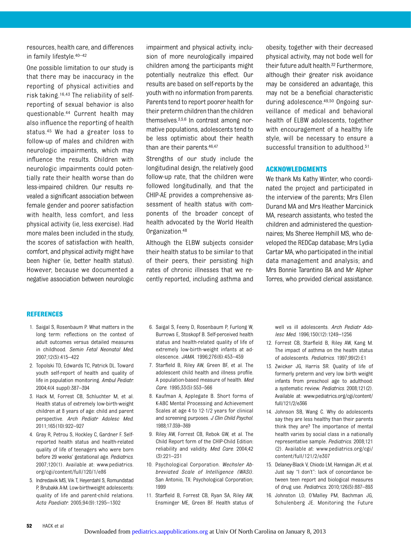resources, health care, and differences in family lifestyle.40–<sup>42</sup>

One possible limitation to our study is that there may be inaccuracy in the reporting of physical activities and risk taking.16,43 The reliability of selfreporting of sexual behavior is also questionable.44 Current health may also influence the reporting of health status.45 We had a greater loss to follow-up of males and children with neurologic impairments, which may influence the results. Children with neurologic impairments could potentially rate their health worse than do less-impaired children. Our results revealed a significant association between female gender and poorer satisfaction with health, less comfort, and less physical activity (ie, less exercise). Had more males been included in the study, the scores of satisfaction with health, comfort, and physical activity might have been higher (ie, better health status). However, because we documented a negative association between neurologic

impairment and physical activity, inclusion of more neurologically impaired children among the participants might potentially neutralize this effect. Our results are based on self-reports by the youth with no information from parents. Parents tend to report poorer health for their preterm children than the children themselves.3,5,6 In contrast among normative populations, adolescents tend to be less optimistic about their health than are their parents.46,47

Strengths of our study include the longitudinal design, the relatively good follow-up rate, that the children were followed longitudinally, and that the CHIP-AE provides a comprehensive assessment of health status with components of the broader concept of health advocated by the World Health Organization.48

Although the ELBW subjects consider their health status to be similar to that of their peers, their persisting high rates of chronic illnesses that we recently reported, including asthma and obesity, together with their decreased physical activity, may not bode well for their future adult health.32 Furthermore, although their greater risk avoidance may be considered an advantage, this may not be a beneficial characteristic during adolescence.49,50 Ongoing surveillance of medical and behavioral health of ELBW adolescents, together with encouragement of a healthy life style, will be necessary to ensure a successful transition to adulthood.<sup>51</sup>

### ACKNOWLEDGMENTS

We thank Ms Kathy Winter, who coordinated the project and participated in the interview of the parents; Mrs Ellen Durand MA and Mrs Heather Marcinick MA, research assistants, who tested the children and administered the questionnaires; Ms Sheree Hemphill MS, who developed the REDCap database; Mrs Lydia Cartar MA, who participated in the initial data management and analysis; and Mrs Bonnie Tarantino BA and Mr Alpher Torres, who provided clerical assistance.

#### **REFERENCES**

- 1. Saigal S, Rosenbaum P. What matters in the long term: reflections on the context of adult outcomes versus detailed measures in childhood. Semin Fetal Neonatal Med. 2007;12(5):415–422
- 2. Topolski TD, Edwards TC, Patrick DL. Toward youth self-report of health and quality of life in population monitoring. Ambul Pediatr. 2004;4(4 suppl):387–394
- 3. Hack M, Forrest CB, Schluchter M, et al. Health status of extremely low-birth-weight children at 8 years of age: child and parent perspective. Arch Pediatr Adolesc Med. 2011;165(10):922–927
- 4. Gray R, Petrou S, Hockley C, Gardner F. Selfreported health status and health-related quality of life of teenagers who were born before 29 weeks' gestational age. Pediatrics. 2007;120(1). Available at: www.pediatrics. org/cgi/content/full/120/1/e86
- 5. Indredavik MS, Vik T, Heyerdahl S, Romundstad P, Brubakk A-M. Low-birthweight adolescents: quality of life and parent-child relations. Acta Paediatr. 2005;94(9):1295–1302
- 6. Saigal S, Feeny D, Rosenbaum P, Furlong W, Burrows E, Stoskopf B. Self-perceived health status and health-related quality of life of extremely low-birth-weight infants at adolescence. JAMA. 1996;276(6):453–459
- 7. Starfield B, Riley AW, Green BF, et al. The adolescent child health and illness profile. A population-based measure of health. Med Care. 1995;33(5):553–566
- 8. Kaufman A, Applegate B. Short forms of K-ABC Mental Processing and Achievement Scales at age 4 to 12-1/2 years for clinical and screening purposes. J Clin Child Psychol. 1988;17:359–369
- 9. Riley AW, Forrest CB, Rebok GW, et al. The Child Report form of the CHIP-Child Edition: reliability and validity. Med Care. 2004;42 (3):221–231
- 10. Psychological Corporation. Wechsler Abbreviated Scale of Intelligence (WASI). San Antonio, TX: Psychological Corporation; 1999
- 11. Starfield B, Forrest CB, Ryan SA, Riley AW, Ensminger ME, Green BF. Health status of

well vs ill adolescents. Arch Pediatr Adolesc Med. 1996;150(12):1249–1256

- 12. Forrest CB, Starfield B, Riley AW, Kang M. The impact of asthma on the health status of adolescents. Pediatrics. 1997;99(2):E1
- 13. Zwicker JG, Harris SR. Quality of life of formerly preterm and very low birth weight infants from preschool age to adulthood: a systematic review. Pediatrics. 2008;121(2). Available at: www.pediatrics.org/cgi/content/ full/121/2/e366
- 14. Johnson SB, Wang C. Why do adolescents say they are less healthy than their parents think they are? The importance of mental health varies by social class in a nationally representative sample. Pediatrics. 2008;121 (2). Available at: www.pediatrics.org/cgi/ content/full/121/2/e307
- 15. Delaney-Black V, Chiodo LM, Hannigan JH, et al. Just say "I don't": lack of concordance between teen report and biological measures of drug use. Pediatrics. 2010;126(5):887–893
- 16. Johnston LD, O'Malley PM, Bachman JG, Schulenberg JE. Monitoring the Future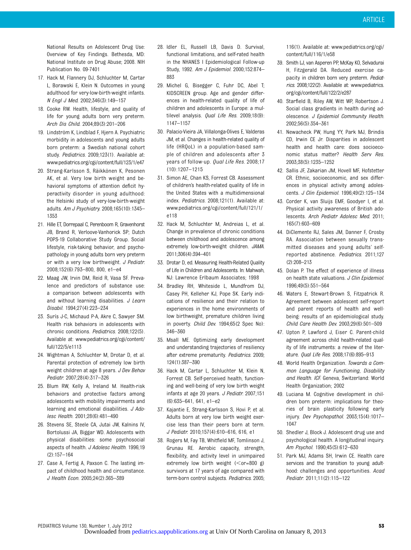National Results on Adolescent Drug Use: Overview of Key Findings. Bethesda, MD: National Institute on Drug Abuse; 2008. NIH Publication No. 09-7401

- 17. Hack M, Flannery DJ, Schluchter M, Cartar L, Borawski E, Klein N. Outcomes in young adulthood for very-low-birth-weight infants. N Engl J Med. 2002;346(3):149–157
- 18. Cooke RW. Health, lifestyle, and quality of life for young adults born very preterm. Arch Dis Child. 2004;89(3):201–206
- 19. Lindström K, Lindblad F, Hjern A. Psychiatric morbidity in adolescents and young adults born preterm: a Swedish national cohort study. Pediatrics. 2009;123(1). Available at: www.pediatrics.org/cgi/content/full/123/1/e47
- 20. Strang-Karlsson S, Räikkönen K, Pesonen AK, et al. Very low birth weight and behavioral symptoms of attention deficit hyperactivity disorder in young adulthood: the Helsinki study of very-low-birth-weight adults. Am J Psychiatry. 2008;165(10):1345– 1353
- 21. Hille ET, Dorrepaal C, Perenboom R, Gravenhorst JB, Brand R, Verloove-Vanhorick SP; Dutch POPS-19 Collaborative Study Group. Social lifestyle, risk-taking behavior, and psychopathology in young adults born very preterm or with a very low birthweight. J Pediatr. 2008;152(6):793–800, 800, e1–e4
- 22. Maag JW, Irvin DM, Reid R, Vasa SF. Prevalence and predictors of substance use: a comparison between adolescents with and without learning disabilities. J Learn Disabil. 1994;27(4):223–234
- 23. Surís J-C, Michaud P-A, Akre C, Sawyer SM. Health risk behaviors in adolescents with chronic conditions. Pediatrics. 2008;122(5). Available at: www.pediatrics.org/cgi/content/ full/122/5/e1113
- 24. Wightman A, Schluchter M, Drotar D, et al. Parental protection of extremely low birth weight children at age 8 years. J Dev Behav Pediatr. 2007;28(4):317–326
- 25. Blum RW, Kelly A, Ireland M. Health-risk behaviors and protective factors among adolescents with mobility impairments and learning and emotional disabilities. J Adolesc Health. 2001;28(6):481–490
- 26. Stevens SE, Steele CA, Jutai JW, Kalnins IV, Bortolussi JA, Biggar WD. Adolescents with physical disabilities: some psychosocial aspects of health. J Adolesc Health. 1996;19 (2):157–164
- 27. Case A, Fertig A, Paxson C. The lasting impact of childhood health and circumstance. J Health Econ. 2005;24(2):365–389
- 28. Idler EL, Russell LB, Davis D. Survival, functional limitations, and self-rated health in the NHANES I Epidemiological Follow-up Study, 1992. Am J Epidemiol. 2000;152:874– 883
- 29. Michel G, Bisegger C, Fuhr DC, Abel T; KIDSCREEN group. Age and gender differences in health-related quality of life of children and adolescents in Europe: a multilevel analysis. *Qual Life Res.* 2009;18(9): 1147–1157
- 30. Palacio-Vieira JA, Villalonga-Olives E, Valderas JM, et al. Changes in health-related quality of life (HRQoL) in a population-based sample of children and adolescents after 3 years of follow-up. Qual Life Res. 2008;17 (10):1207–1215
- 31. Simon AE, Chan KS, Forrest CB. Assessment of children's health-related quality of life in the United States with a multidimensional index. Pediatrics. 2008;121(1). Available at: www.pediatrics.org/cgi/content/full/121/1/ e118
- 32. Hack M, Schluchter M, Andreias L, et al. Change in prevalence of chronic conditions between childhood and adolescence among extremely low-birth-weight children. JAMA. 2011;306(4):394–401
- 33. Drotar D, ed. Measuring Health-Related Quality of Life in Children and Adolescents. In: Mahwah, NJ: Lawrence Erlbaum Associates; 1998
- 34. Bradley RH, Whiteside L, Mundfrom DJ, Casey PH, Kelleher KJ, Pope SK. Early indications of resilience and their relation to experiences in the home environments of low birthweight, premature children living in poverty. Child Dev. 1994;65(2 Spec No): 346–360
- 35. Msall ME. Optimizing early development and understanding trajectories of resiliency after extreme prematurity. Pediatrics. 2009; 124(1):387–390
- 36. Hack M, Cartar L, Schluchter M, Klein N, Forrest CB. Self-perceived health, functioning and well-being of very low birth weight infants at age 20 years. J Pediatr. 2007;151 (6):635–641, 641, e1–e2
- 37. Kajantie E, Strang-Karlsson S, Hovi P, et al. Adults born at very low birth weight exercise less than their peers born at term. J Pediatr. 2010;157(4):610–616, 616, e1
- 38. Rogers M, Fay TB, Whitfield MF, Tomlinson J, Grunau RE. Aerobic capacity, strength, flexibility, and activity level in unimpaired extremely low birth weight  $($ survivors at 17 years of age compared with term-born control subjects. Pediatrics. 2005;

116(1). Available at: www.pediatrics.org/cgi/ content/full/116/1/e58

- 39. Smith LJ, van Asperen PP, McKay KO, Selvadurai H, Fitzgerald DA. Reduced exercise capacity in children born very preterm. Pediatrics. 2008;122(2). Available at: www.pediatrics. org/cgi/content/full/122/2/e287
- 40. Starfield B, Riley AW, Witt WP, Robertson J. Social class gradients in health during adolescence. J Epidemiol Community Health. 2002;56(5):354–361
- 41. Newacheck PW, Hung YY, Park MJ, Brindis CD, Irwin CE Jr. Disparities in adolescent health and health care: does socioeconomic status matter? Health Serv Res. 2003;38(5):1235–1252
- 42. Sallis JF, Zakarian JM, Hovell MF, Hofstetter CR. Ethnic, socioeconomic, and sex differences in physical activity among adolescents. J Clin Epidemiol. 1996;49(2):125–134
- 43. Corder K, van Sluijs EMF, Goodyer I, et al. Physical activity awareness of British adolescents. Arch Pediatr Adolesc Med. 2011; 165(7):603–609
- 44. DiClemente RJ, Sales JM, Danner F, Crosby RA. Association between sexually transmitted diseases and young adults' selfreported abstinence. Pediatrics. 2011;127 (2):208–213
- 45. Dolan P. The effect of experience of illness on health state valuations. J Clin Epidemiol. 1996;49(5):551–564
- 46. Waters E, Stewart-Brown S, Fitzpatrick R. Agreement between adolescent self-report and parent reports of health and wellbeing: results of an epidemiological study. Child Care Health Dev. 2003;29(6):501–509
- 47. Upton P, Lawford J, Eiser C. Parent-child agreement across child health-related quality of life instruments: a review of the literature. Qual Life Res. 2008;17(6):895–913
- 48. World Health Organization. Towards a Common Language for Functioning, Disability and Health. ICF. Geneva, Switzerland: World Health Organization; 2002
- 49. Luciana M. Cognitive development in children born preterm: implications for theories of brain plasticity following early injury. Dev Psychopathol. 2003;15(4):1017– 1047
- 50. Shedler J, Block J. Adolescent drug use and psychological health. A longitudinal inquiry. Am Psychol. 1990;45(5):612–630
- 51. Park MJ, Adams SH, Irwin CE. Health care services and the transition to young adulthood: challenges and opportunities. Acad Pediatr. 2011;11(2):115–122